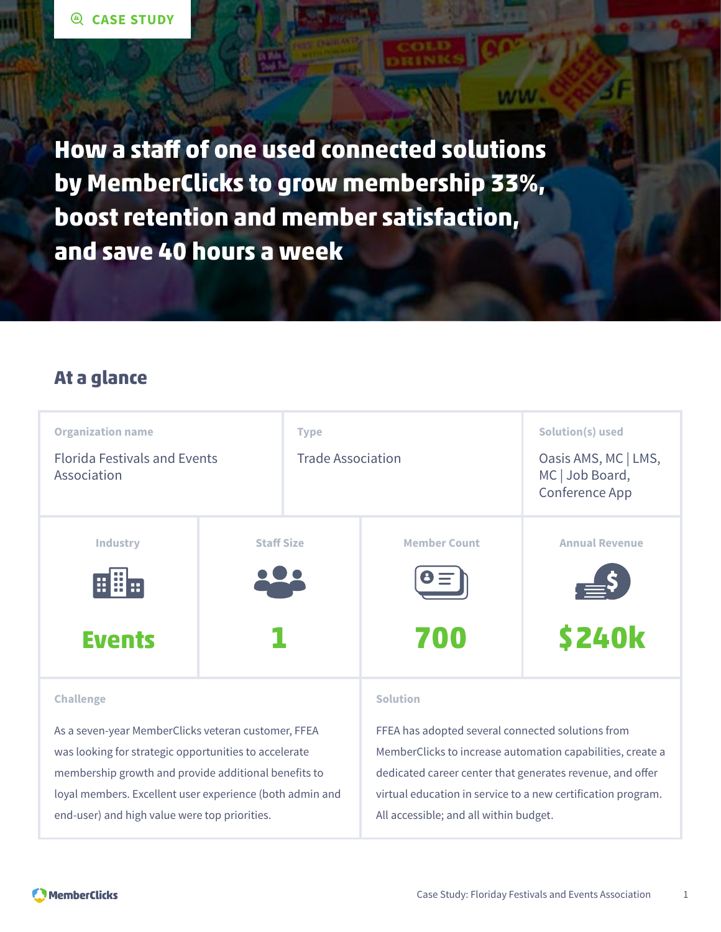**How a staff of one used connected solutions by MemberClicks to grow membership 33%, boost retention and member satisfaction, and save 40 hours a week**

### **At a glance**



#### **Challenge**

As a seven-year MemberClicks veteran customer, FFEA was looking for strategic opportunities to accelerate membership growth and provide additional benefits to loyal members. Excellent user experience (both admin and end-user) and high value were top priorities.

#### **Solution**

FFEA has adopted several connected solutions from MemberClicks to increase automation capabilities, create a dedicated career center that generates revenue, and offer virtual education in service to a new certification program. All accessible; and all within budget.

ww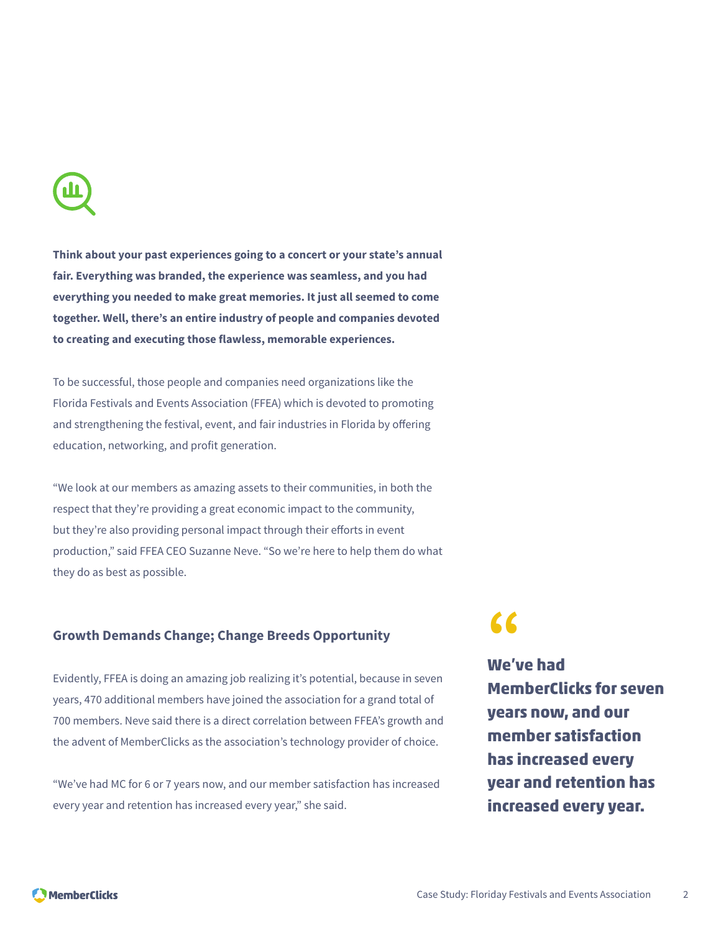

**Think about your past experiences going to a concert or your state's annual fair. Everything was branded, the experience was seamless, and you had everything you needed to make great memories. It just all seemed to come together. Well, there's an entire industry of people and companies devoted to creating and executing those flawless, memorable experiences.**

To be successful, those people and companies need organizations like the Florida Festivals and Events Association (FFEA) which is devoted to promoting and strengthening the festival, event, and fair industries in Florida by offering education, networking, and profit generation.

"We look at our members as amazing assets to their communities, in both the respect that they're providing a great economic impact to the community, but they're also providing personal impact through their efforts in event production," said FFEA CEO Suzanne Neve. "So we're here to help them do what they do as best as possible.

### **Growth Demands Change; Change Breeds Opportunity**

Evidently, FFEA is doing an amazing job realizing it's potential, because in seven years, 470 additional members have joined the association for a grand total of 700 members. Neve said there is a direct correlation between FFEA's growth and the advent of MemberClicks as the association's technology provider of choice.

"We've had MC for 6 or 7 years now, and our member satisfaction has increased every year and retention has increased every year," she said.

**"**

**We've had MemberClicks for seven years now, and our member satisfaction has increased every year and retention has increased every year.**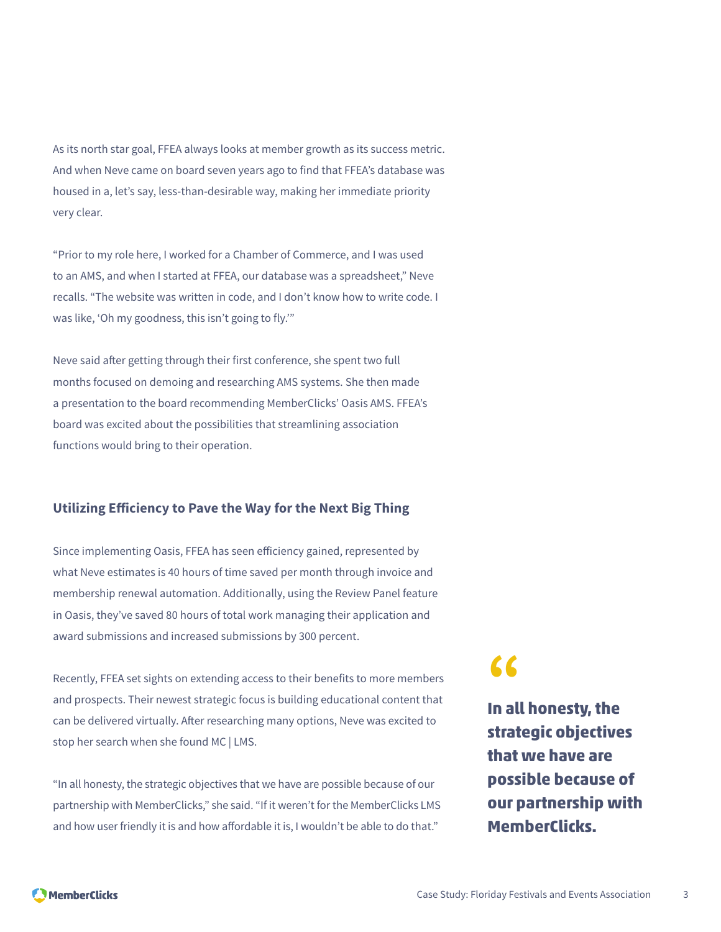As its north star goal, FFEA always looks at member growth as its success metric. And when Neve came on board seven years ago to find that FFEA's database was housed in a, let's say, less-than-desirable way, making her immediate priority very clear.

"Prior to my role here, I worked for a Chamber of Commerce, and I was used to an AMS, and when I started at FFEA, our database was a spreadsheet," Neve recalls. "The website was written in code, and I don't know how to write code. I was like, 'Oh my goodness, this isn't going to fly.'"

Neve said after getting through their first conference, she spent two full months focused on demoing and researching AMS systems. She then made a presentation to the board recommending MemberClicks' Oasis AMS. FFEA's board was excited about the possibilities that streamlining association functions would bring to their operation.

### **Utilizing Efficiency to Pave the Way for the Next Big Thing**

Since implementing Oasis, FFEA has seen efficiency gained, represented by what Neve estimates is 40 hours of time saved per month through invoice and membership renewal automation. Additionally, using the Review Panel feature in Oasis, they've saved 80 hours of total work managing their application and award submissions and increased submissions by 300 percent.

Recently, FFEA set sights on extending access to their benefits to more members and prospects. Their newest strategic focus is building educational content that can be delivered virtually. After researching many options, Neve was excited to stop her search when she found MC | LMS.

"In all honesty, the strategic objectives that we have are possible because of our partnership with MemberClicks," she said. "If it weren't for the MemberClicks LMS and how user friendly it is and how affordable it is, I wouldn't be able to do that."

# **"**

**In all honesty, the strategic objectives that we have are possible because of our partnership with MemberClicks.**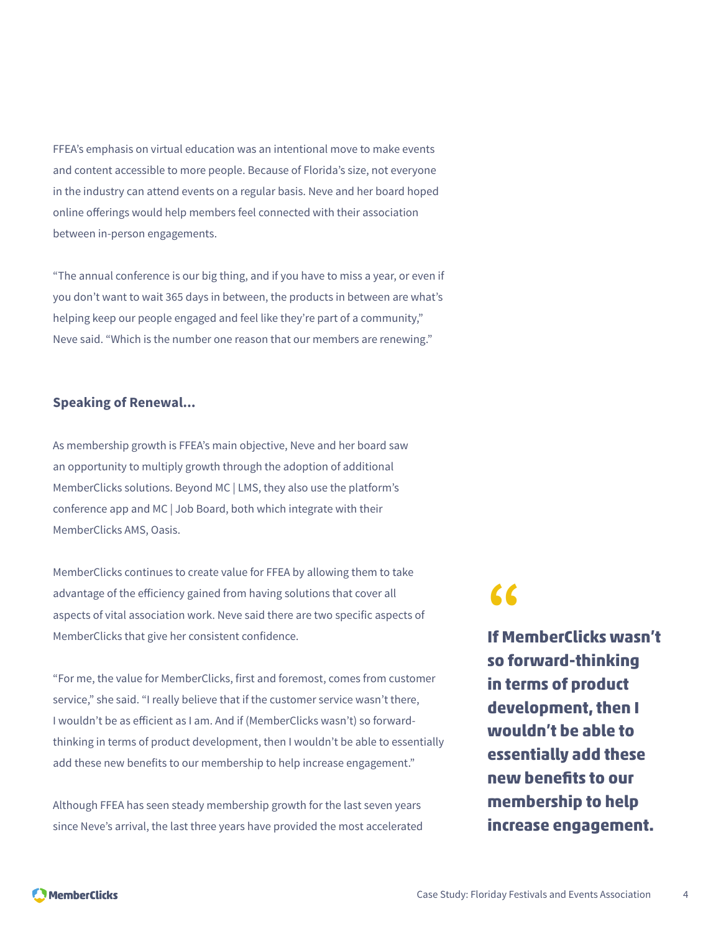FFEA's emphasis on virtual education was an intentional move to make events and content accessible to more people. Because of Florida's size, not everyone in the industry can attend events on a regular basis. Neve and her board hoped online offerings would help members feel connected with their association between in-person engagements.

"The annual conference is our big thing, and if you have to miss a year, or even if you don't want to wait 365 days in between, the products in between are what's helping keep our people engaged and feel like they're part of a community," Neve said. "Which is the number one reason that our members are renewing."

### **Speaking of Renewal...**

As membership growth is FFEA's main objective, Neve and her board saw an opportunity to multiply growth through the adoption of additional MemberClicks solutions. Beyond MC | LMS, they also use the platform's conference app and MC | Job Board, both which integrate with their MemberClicks AMS, Oasis.

MemberClicks continues to create value for FFEA by allowing them to take advantage of the efficiency gained from having solutions that cover all aspects of vital association work. Neve said there are two specific aspects of MemberClicks that give her consistent confidence.

"For me, the value for MemberClicks, first and foremost, comes from customer service," she said. "I really believe that if the customer service wasn't there, I wouldn't be as efficient as I am. And if (MemberClicks wasn't) so forwardthinking in terms of product development, then I wouldn't be able to essentially add these new benefits to our membership to help increase engagement."

Although FFEA has seen steady membership growth for the last seven years since Neve's arrival, the last three years have provided the most accelerated

# **"**

**If MemberClicks wasn't so forward-thinking in terms of product development, then I wouldn't be able to essentially add these new benefits to our membership to help increase engagement.**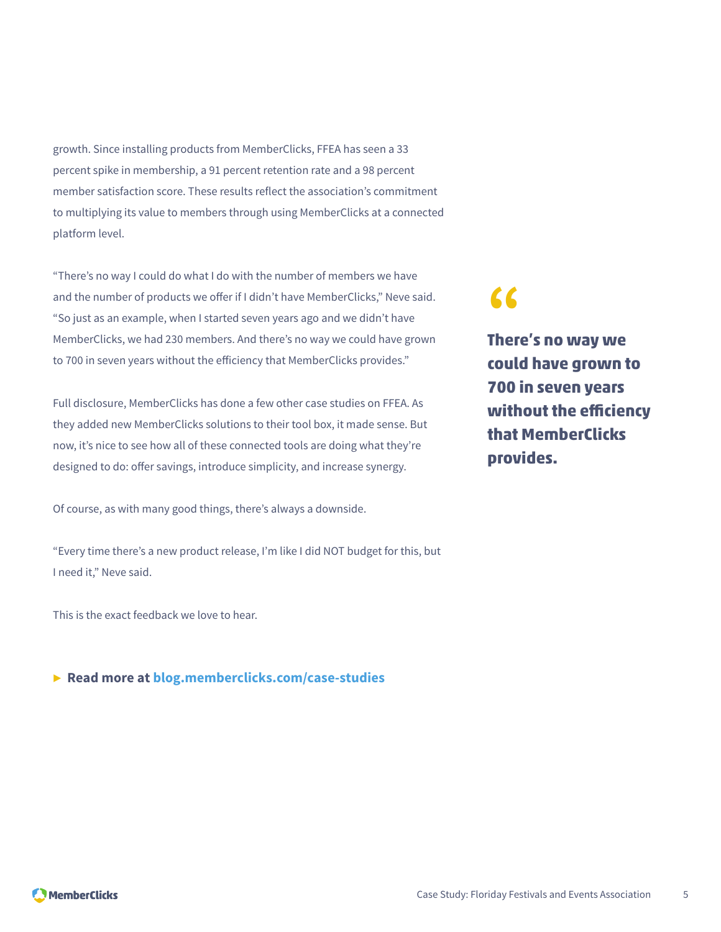growth. Since installing products from MemberClicks, FFEA has seen a 33 percent spike in membership, a 91 percent retention rate and a 98 percent member satisfaction score. These results reflect the association's commitment to multiplying its value to members through using MemberClicks at a connected platform level.

"There's no way I could do what I do with the number of members we have and the number of products we offer if I didn't have MemberClicks," Neve said. "So just as an example, when I started seven years ago and we didn't have MemberClicks, we had 230 members. And there's no way we could have grown to 700 in seven years without the efficiency that MemberClicks provides."

Full disclosure, MemberClicks has done a few other case studies on FFEA. As they added new MemberClicks solutions to their tool box, it made sense. But now, it's nice to see how all of these connected tools are doing what they're designed to do: offer savings, introduce simplicity, and increase synergy.

Of course, as with many good things, there's always a downside.

"Every time there's a new product release, I'm like I did NOT budget for this, but I need it," Neve said.

This is the exact feedback we love to hear.

#### **▶ Read more at [blog.memberclicks.com/case-studies](https://blog.memberclicks.com/case-studies)**

## **"**

**There's no way we could have grown to 700 in seven years without the efficiency that MemberClicks provides.**